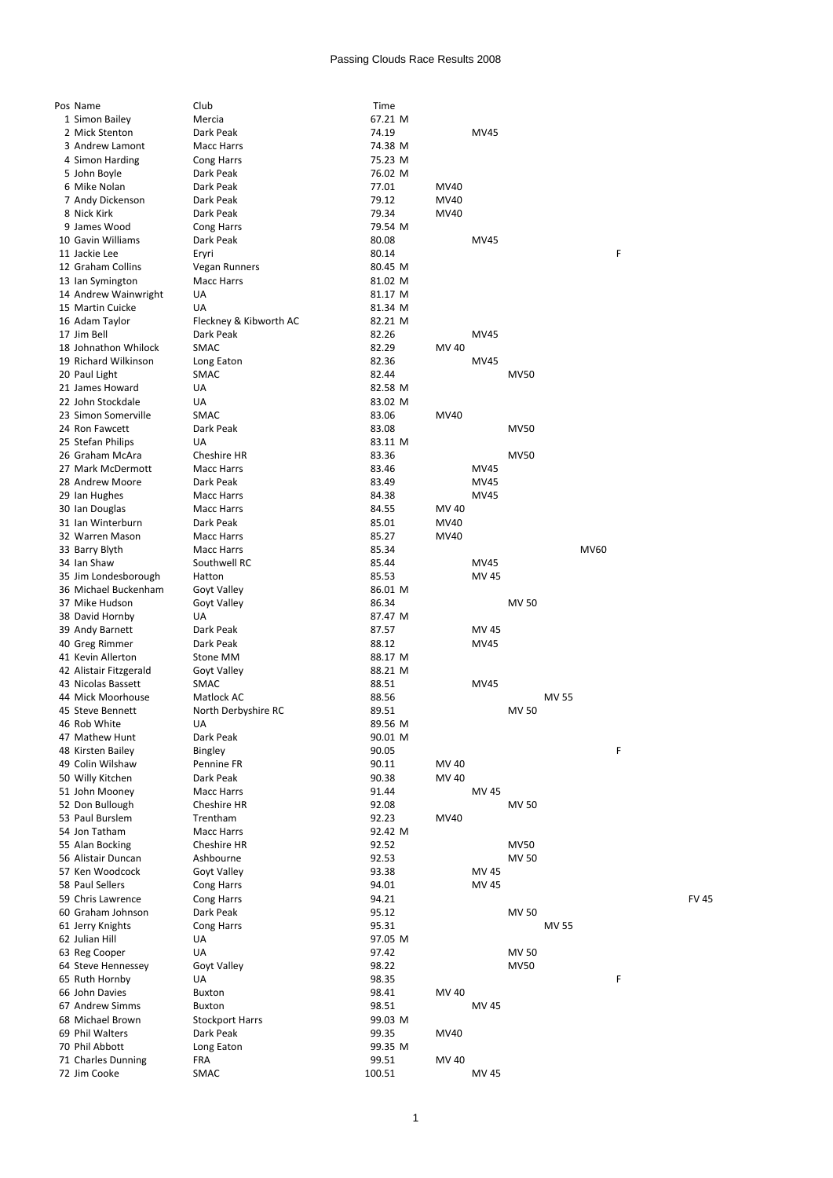## Passing Clouds Race Results 2008

| Pos Name               | Club                   | Time    |       |             |              |              |             |   |             |
|------------------------|------------------------|---------|-------|-------------|--------------|--------------|-------------|---|-------------|
|                        |                        |         |       |             |              |              |             |   |             |
| 1 Simon Bailey         | Mercia                 | 67.21 M |       |             |              |              |             |   |             |
| 2 Mick Stenton         | Dark Peak              | 74.19   |       | <b>MV45</b> |              |              |             |   |             |
| 3 Andrew Lamont        | <b>Macc Harrs</b>      | 74.38 M |       |             |              |              |             |   |             |
|                        |                        |         |       |             |              |              |             |   |             |
| 4 Simon Harding        | Cong Harrs             | 75.23 M |       |             |              |              |             |   |             |
| 5 John Boyle           | Dark Peak              | 76.02 M |       |             |              |              |             |   |             |
| 6 Mike Nolan           | Dark Peak              | 77.01   | MV40  |             |              |              |             |   |             |
|                        |                        |         |       |             |              |              |             |   |             |
| 7 Andy Dickenson       | Dark Peak              | 79.12   | MV40  |             |              |              |             |   |             |
| 8 Nick Kirk            | Dark Peak              | 79.34   | MV40  |             |              |              |             |   |             |
|                        |                        |         |       |             |              |              |             |   |             |
| 9 James Wood           | Cong Harrs             | 79.54 M |       |             |              |              |             |   |             |
| 10 Gavin Williams      | Dark Peak              | 80.08   |       | MV45        |              |              |             |   |             |
| 11 Jackie Lee          | Eryri                  | 80.14   |       |             |              |              |             | F |             |
|                        |                        |         |       |             |              |              |             |   |             |
| 12 Graham Collins      | Vegan Runners          | 80.45 M |       |             |              |              |             |   |             |
| 13 Ian Symington       | <b>Macc Harrs</b>      | 81.02 M |       |             |              |              |             |   |             |
| 14 Andrew Wainwright   | UA                     | 81.17 M |       |             |              |              |             |   |             |
|                        |                        |         |       |             |              |              |             |   |             |
| 15 Martin Cuicke       | UA                     | 81.34 M |       |             |              |              |             |   |             |
| 16 Adam Taylor         | Fleckney & Kibworth AC | 82.21 M |       |             |              |              |             |   |             |
| 17 Jim Bell            | Dark Peak              | 82.26   |       | <b>MV45</b> |              |              |             |   |             |
|                        |                        |         |       |             |              |              |             |   |             |
| 18 Johnathon Whilock   | <b>SMAC</b>            | 82.29   | MV 40 |             |              |              |             |   |             |
| 19 Richard Wilkinson   | Long Eaton             | 82.36   |       | MV45        |              |              |             |   |             |
| 20 Paul Light          | SMAC                   | 82.44   |       |             | <b>MV50</b>  |              |             |   |             |
|                        |                        |         |       |             |              |              |             |   |             |
| 21 James Howard        | UA                     | 82.58 M |       |             |              |              |             |   |             |
| 22 John Stockdale      | UA                     | 83.02 M |       |             |              |              |             |   |             |
|                        |                        |         |       |             |              |              |             |   |             |
| 23 Simon Somerville    | <b>SMAC</b>            | 83.06   | MV40  |             |              |              |             |   |             |
| 24 Ron Fawcett         | Dark Peak              | 83.08   |       |             | <b>MV50</b>  |              |             |   |             |
| 25 Stefan Philips      | UA                     | 83.11 M |       |             |              |              |             |   |             |
|                        |                        |         |       |             |              |              |             |   |             |
| 26 Graham McAra        | Cheshire HR            | 83.36   |       |             | <b>MV50</b>  |              |             |   |             |
| 27 Mark McDermott      | <b>Macc Harrs</b>      | 83.46   |       | MV45        |              |              |             |   |             |
| 28 Andrew Moore        | Dark Peak              | 83.49   |       |             |              |              |             |   |             |
|                        |                        |         |       | MV45        |              |              |             |   |             |
| 29 Ian Hughes          | <b>Macc Harrs</b>      | 84.38   |       | MV45        |              |              |             |   |             |
| 30 Ian Douglas         | <b>Macc Harrs</b>      | 84.55   | MV 40 |             |              |              |             |   |             |
|                        |                        |         |       |             |              |              |             |   |             |
| 31 Ian Winterburn      | Dark Peak              | 85.01   | MV40  |             |              |              |             |   |             |
| 32 Warren Mason        | Macc Harrs             | 85.27   | MV40  |             |              |              |             |   |             |
| 33 Barry Blyth         | Macc Harrs             | 85.34   |       |             |              |              | <b>MV60</b> |   |             |
|                        |                        |         |       |             |              |              |             |   |             |
| 34 Ian Shaw            | Southwell RC           | 85.44   |       | MV45        |              |              |             |   |             |
| 35 Jim Londesborough   | Hatton                 | 85.53   |       | MV 45       |              |              |             |   |             |
| 36 Michael Buckenham   |                        | 86.01 M |       |             |              |              |             |   |             |
|                        | Goyt Valley            |         |       |             |              |              |             |   |             |
| 37 Mike Hudson         | Goyt Valley            | 86.34   |       |             | <b>MV 50</b> |              |             |   |             |
| 38 David Hornby        | UA                     | 87.47 M |       |             |              |              |             |   |             |
|                        |                        |         |       |             |              |              |             |   |             |
| 39 Andy Barnett        | Dark Peak              | 87.57   |       | MV 45       |              |              |             |   |             |
| 40 Greg Rimmer         | Dark Peak              | 88.12   |       | MV45        |              |              |             |   |             |
| 41 Kevin Allerton      | Stone MM               | 88.17 M |       |             |              |              |             |   |             |
|                        |                        |         |       |             |              |              |             |   |             |
| 42 Alistair Fitzgerald | Goyt Valley            | 88.21 M |       |             |              |              |             |   |             |
| 43 Nicolas Bassett     | <b>SMAC</b>            | 88.51   |       | <b>MV45</b> |              |              |             |   |             |
| 44 Mick Moorhouse      | Matlock AC             | 88.56   |       |             |              | <b>MV 55</b> |             |   |             |
|                        |                        |         |       |             |              |              |             |   |             |
|                        |                        |         |       |             |              |              |             |   |             |
| 45 Steve Bennett       | North Derbyshire RC    | 89.51   |       |             | <b>MV 50</b> |              |             |   |             |
|                        |                        |         |       |             |              |              |             |   |             |
| 46 Rob White           | UA                     | 89.56 M |       |             |              |              |             |   |             |
| 47 Mathew Hunt         | Dark Peak              | 90.01 M |       |             |              |              |             |   |             |
| 48 Kirsten Bailey      | Bingley                | 90.05   |       |             |              |              |             | F |             |
|                        |                        |         |       |             |              |              |             |   |             |
| 49 Colin Wilshaw       | Pennine FR             | 90.11   | MV 40 |             |              |              |             |   |             |
| 50 Willy Kitchen       | Dark Peak              | 90.38   | MV 40 |             |              |              |             |   |             |
| 51 John Mooney         | <b>Macc Harrs</b>      | 91.44   |       | MV 45       |              |              |             |   |             |
|                        |                        |         |       |             |              |              |             |   |             |
| 52 Don Bullough        | Cheshire HR            | 92.08   |       |             | MV 50        |              |             |   |             |
| 53 Paul Burslem        | Trentham               | 92.23   | MV40  |             |              |              |             |   |             |
|                        |                        |         |       |             |              |              |             |   |             |
| 54 Jon Tatham          | <b>Macc Harrs</b>      | 92.42 M |       |             |              |              |             |   |             |
| 55 Alan Bocking        | Cheshire HR            | 92.52   |       |             | <b>MV50</b>  |              |             |   |             |
| 56 Alistair Duncan     | Ashbourne              | 92.53   |       |             | MV 50        |              |             |   |             |
|                        |                        |         |       |             |              |              |             |   |             |
| 57 Ken Woodcock        | Goyt Valley            | 93.38   |       | MV 45       |              |              |             |   |             |
| 58 Paul Sellers        | Cong Harrs             | 94.01   |       | MV 45       |              |              |             |   |             |
|                        |                        |         |       |             |              |              |             |   |             |
| 59 Chris Lawrence      | Cong Harrs             | 94.21   |       |             |              |              |             |   | <b>FV45</b> |
| 60 Graham Johnson      | Dark Peak              | 95.12   |       |             | MV 50        |              |             |   |             |
| 61 Jerry Knights       | Cong Harrs             | 95.31   |       |             |              | <b>MV 55</b> |             |   |             |
|                        |                        |         |       |             |              |              |             |   |             |
| 62 Julian Hill         | UA                     | 97.05 M |       |             |              |              |             |   |             |
| 63 Reg Cooper          | UA                     | 97.42   |       |             | MV 50        |              |             |   |             |
| 64 Steve Hennessey     | Goyt Valley            | 98.22   |       |             | <b>MV50</b>  |              |             |   |             |
|                        |                        |         |       |             |              |              |             |   |             |
| 65 Ruth Hornby         | UA                     | 98.35   |       |             |              |              |             | F |             |
| 66 John Davies         | Buxton                 | 98.41   | MV 40 |             |              |              |             |   |             |
|                        |                        |         |       |             |              |              |             |   |             |
| 67 Andrew Simms        | Buxton                 | 98.51   |       | MV 45       |              |              |             |   |             |
| 68 Michael Brown       | <b>Stockport Harrs</b> | 99.03 M |       |             |              |              |             |   |             |
| 69 Phil Walters        | Dark Peak              | 99.35   | MV40  |             |              |              |             |   |             |
|                        |                        |         |       |             |              |              |             |   |             |
| 70 Phil Abbott         | Long Eaton             | 99.35 M |       |             |              |              |             |   |             |
| 71 Charles Dunning     | <b>FRA</b>             | 99.51   | MV 40 |             |              |              |             |   |             |
| 72 Jim Cooke           | SMAC                   | 100.51  |       | MV 45       |              |              |             |   |             |